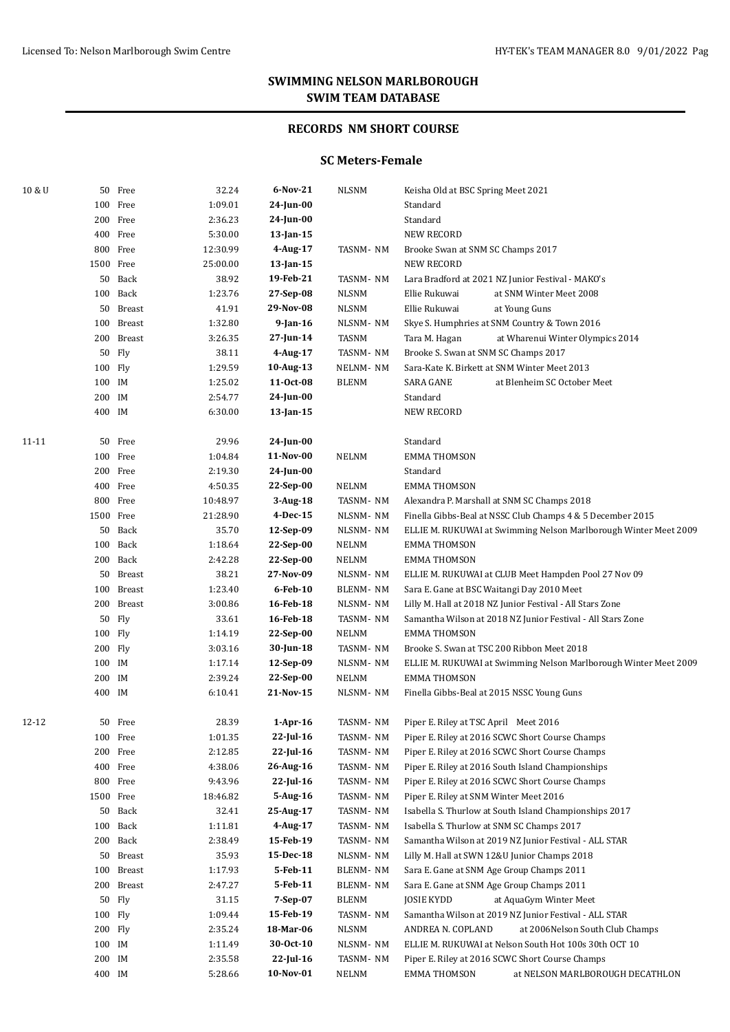## **RECORDS NM SHORT COURSE**

#### **SC Meters-Female**

| 10 & U    |                     | 50 Free       | 32.24     | 6-Nov-21        | <b>NLSNM</b>                                         | Keisha Old at BSC Spring Meet 2021                               |  |  |
|-----------|---------------------|---------------|-----------|-----------------|------------------------------------------------------|------------------------------------------------------------------|--|--|
|           |                     | 100 Free      | 1:09.01   | $24$ -Jun-00    |                                                      | Standard                                                         |  |  |
|           |                     | 200 Free      | 2:36.23   | 24-Jun-00       |                                                      | Standard                                                         |  |  |
|           |                     | 400 Free      | 5:30.00   | 13-Jan-15       |                                                      | <b>NEW RECORD</b>                                                |  |  |
|           |                     | 800 Free      | 12:30.99  | 4-Aug-17        | TASNM-NM                                             | Brooke Swan at SNM SC Champs 2017                                |  |  |
|           |                     | 1500 Free     | 25:00.00  | 13-Jan-15       |                                                      | <b>NEW RECORD</b>                                                |  |  |
|           |                     | 50 Back       | 38.92     | 19-Feb-21       | TASNM-NM                                             | Lara Bradford at 2021 NZ Junior Festival - MAKO's                |  |  |
|           |                     | 100 Back      | 1:23.76   | 27-Sep-08       | <b>NLSNM</b>                                         | Ellie Rukuwai<br>at SNM Winter Meet 2008                         |  |  |
|           |                     | 50 Breast     | 41.91     | 29-Nov-08       | <b>NLSNM</b>                                         | Ellie Rukuwai<br>at Young Guns                                   |  |  |
|           | 100                 | <b>Breast</b> | 1:32.80   | $9$ -Jan-16     | NLSNM-NM                                             | Skye S. Humphries at SNM Country & Town 2016                     |  |  |
|           |                     | 200 Breast    | 3:26.35   | 27-Jun-14       | TASNM                                                | Tara M. Hagan<br>at Wharenui Winter Olympics 2014                |  |  |
|           |                     | 50 Fly        | 38.11     | 4-Aug-17        | TASNM-NM                                             | Brooke S. Swan at SNM SC Champs 2017                             |  |  |
|           | 100 Fly             |               | 1:29.59   | 10-Aug-13       | NELNM-NM                                             | Sara-Kate K. Birkett at SNM Winter Meet 2013                     |  |  |
|           |                     |               | 1:25.02   | 11-Oct-08       |                                                      |                                                                  |  |  |
|           | 100 IM<br>200 IM    |               | 2:54.77   | $24$ -Jun-00    | <b>BLENM</b>                                         | <b>SARA GANE</b><br>at Blenheim SC October Meet<br>Standard      |  |  |
|           |                     |               |           |                 |                                                      |                                                                  |  |  |
|           | 400 IM              |               | 6:30.00   | 13-Jan-15       |                                                      | <b>NEW RECORD</b>                                                |  |  |
| 11-11     |                     | 50 Free       | 29.96     | $24$ -Jun-00    |                                                      | Standard                                                         |  |  |
|           |                     | 100 Free      | 1:04.84   | 11-Nov-00       | <b>NELNM</b>                                         | <b>EMMA THOMSON</b>                                              |  |  |
|           |                     | 200 Free      | 2:19.30   | $24$ -Jun-00    |                                                      | Standard                                                         |  |  |
|           |                     | 400 Free      | 4:50.35   | 22-Sep-00       | <b>NELNM</b>                                         | <b>EMMA THOMSON</b>                                              |  |  |
|           |                     | 800 Free      | 10:48.97  | 3-Aug-18        | TASNM-NM                                             | Alexandra P. Marshall at SNM SC Champs 2018                      |  |  |
|           |                     | 1500 Free     | 21:28.90  | 4-Dec-15        | NLSNM-NM                                             | Finella Gibbs-Beal at NSSC Club Champs 4 & 5 December 2015       |  |  |
|           |                     | 50 Back       | 35.70     | 12-Sep-09       | NLSNM-NM                                             | ELLIE M. RUKUWAI at Swimming Nelson Marlborough Winter Meet 2009 |  |  |
|           | 1:18.64<br>100 Back |               | 22-Sep-00 | <b>NELNM</b>    | EMMA THOMSON                                         |                                                                  |  |  |
|           |                     | 200 Back      | 2:42.28   | 22-Sep-00       | <b>NELNM</b>                                         | EMMA THOMSON                                                     |  |  |
| 50 Breast |                     | 38.21         | 27-Nov-09 | NLSNM-NM        | ELLIE M. RUKUWAI at CLUB Meet Hampden Pool 27 Nov 09 |                                                                  |  |  |
|           |                     | 100 Breast    | 1:23.40   | 6-Feb-10        | BLENM-NM                                             | Sara E. Gane at BSC Waitangi Day 2010 Meet                       |  |  |
|           |                     | 200 Breast    | 3:00.86   | 16-Feb-18       | NLSNM-NM                                             | Lilly M. Hall at 2018 NZ Junior Festival - All Stars Zone        |  |  |
|           |                     | 50 Fly        | 33.61     | 16-Feb-18       | TASNM-NM                                             | Samantha Wilson at 2018 NZ Junior Festival - All Stars Zone      |  |  |
|           | 100 Fly             |               | 1:14.19   | 22-Sep-00       | <b>NELNM</b>                                         | <b>EMMA THOMSON</b>                                              |  |  |
|           | 200 Fly             |               | 3:03.16   | 30-Jun-18       | TASNM-NM                                             | Brooke S. Swan at TSC 200 Ribbon Meet 2018                       |  |  |
|           | 100 IM              |               | 1:17.14   | 12-Sep-09       | NLSNM-NM                                             | ELLIE M. RUKUWAI at Swimming Nelson Marlborough Winter Meet 2009 |  |  |
|           | 200 IM              |               | 2:39.24   | 22-Sep-00       | <b>NELNM</b>                                         | <b>EMMA THOMSON</b>                                              |  |  |
|           | 400 IM              |               | 6:10.41   | 21-Nov-15       | NLSNM-NM                                             | Finella Gibbs-Beal at 2015 NSSC Young Guns                       |  |  |
|           |                     |               |           |                 |                                                      |                                                                  |  |  |
| 12-12     |                     | 50 Free       | 28.39     | $1-Apr-16$      | TASNM-NM                                             | Piper E. Riley at TSC April Meet 2016                            |  |  |
|           |                     | 100 Free      | 1:01.35   | 22-Jul-16       | TASNM-NM                                             | Piper E. Riley at 2016 SCWC Short Course Champs                  |  |  |
|           |                     | 200 Free      | 2:12.85   | 22-Jul-16       | TASNM-NM                                             | Piper E. Riley at 2016 SCWC Short Course Champs                  |  |  |
|           |                     | 400 Free      | 4:38.06   | 26-Aug-16       | TASNM-NM                                             | Piper E. Riley at 2016 South Island Championships                |  |  |
|           |                     | 800 Free      | 9:43.96   | 22-Jul-16       | TASNM-NM                                             | Piper E. Riley at 2016 SCWC Short Course Champs                  |  |  |
|           |                     | 1500 Free     | 18:46.82  | 5-Aug-16        | TASNM-NM                                             | Piper E. Riley at SNM Winter Meet 2016                           |  |  |
|           |                     | 50 Back       | 32.41     | 25-Aug-17       | TASNM-NM                                             | Isabella S. Thurlow at South Island Championships 2017           |  |  |
|           |                     | 100 Back      | 1:11.81   | 4-Aug-17        | TASNM-NM                                             | Isabella S. Thurlow at SNM SC Champs 2017                        |  |  |
|           |                     | 200 Back      | 2:38.49   | 15-Feb-19       | TASNM-NM                                             | Samantha Wilson at 2019 NZ Junior Festival - ALL STAR            |  |  |
|           |                     | 50 Breast     | 35.93     | 15-Dec-18       | NLSNM-NM                                             | Lilly M. Hall at SWN 12&U Junior Champs 2018                     |  |  |
|           |                     | 100 Breast    | 1:17.93   | <b>5-Feb-11</b> | <b>BLENM-NM</b>                                      | Sara E. Gane at SNM Age Group Champs 2011                        |  |  |
|           |                     | 200 Breast    | 2:47.27   | <b>5-Feb-11</b> | BLENM-NM                                             | Sara E. Gane at SNM Age Group Champs 2011                        |  |  |
|           |                     | 50 Fly        | 31.15     | 7-Sep-07        | <b>BLENM</b>                                         | <b>JOSIE KYDD</b><br>at AquaGym Winter Meet                      |  |  |
|           | 100 Fly             |               | 1:09.44   | 15-Feb-19       | TASNM-NM                                             | Samantha Wilson at 2019 NZ Junior Festival - ALL STAR            |  |  |
|           | 200 Fly             |               | 2:35.24   | 18-Mar-06       | <b>NLSNM</b>                                         | ANDREA N. COPLAND<br>at 2006Nelson South Club Champs             |  |  |
|           | 100 IM              |               | 1:11.49   | 30-Oct-10       | NLSNM-NM                                             | ELLIE M. RUKUWAI at Nelson South Hot 100s 30th OCT 10            |  |  |
|           | 200 IM              |               | 2:35.58   | $22$ -Jul-16    | TASNM-NM                                             | Piper E. Riley at 2016 SCWC Short Course Champs                  |  |  |
|           | 400 IM              |               | 5:28.66   | 10-Nov-01       | NELNM                                                | <b>EMMA THOMSON</b><br>at NELSON MARLBOROUGH DECATHLON           |  |  |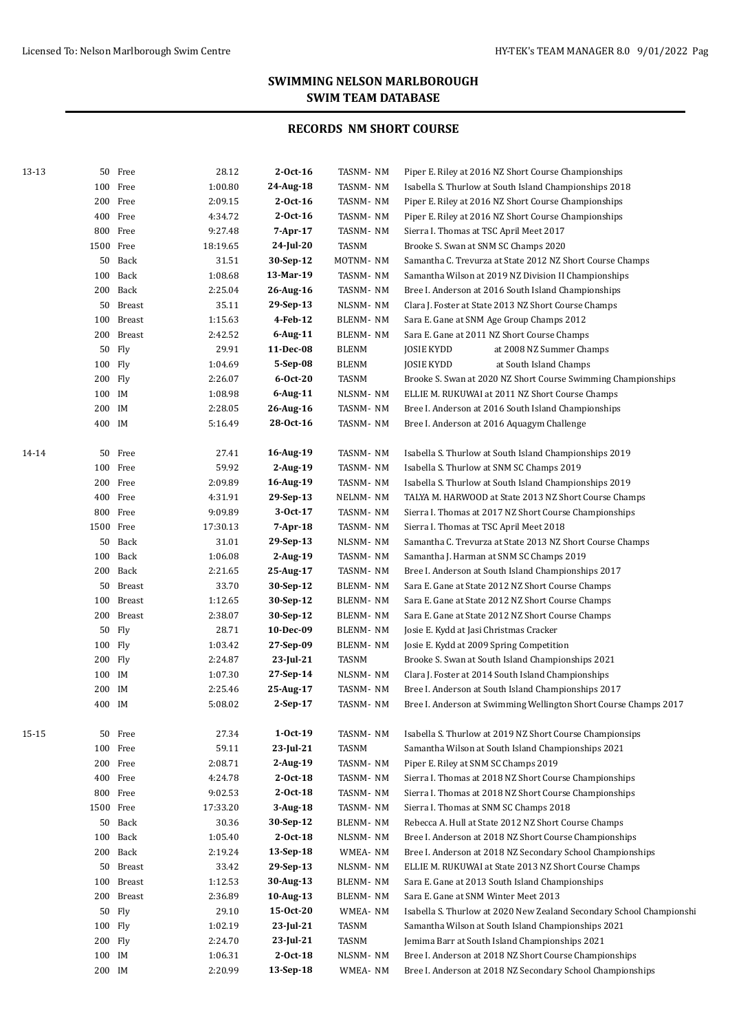| 13-13 | 50                 | Free          | 28.12              | $2-0ct-16$             | TASNM-NM       | Piper E. Riley at 2016 NZ Short Course Championships                                                     |
|-------|--------------------|---------------|--------------------|------------------------|----------------|----------------------------------------------------------------------------------------------------------|
|       | 100                | Free          | 1:00.80            | 24-Aug-18              | TASNM-NM       | Isabella S. Thurlow at South Island Championships 2018                                                   |
|       |                    | 200 Free      | 2:09.15            | $2-0ct-16$             | TASNM-NM       | Piper E. Riley at 2016 NZ Short Course Championships                                                     |
|       |                    | 400 Free      | 4:34.72            | $2-0ct-16$             | TASNM-NM       | Piper E. Riley at 2016 NZ Short Course Championships                                                     |
|       |                    | 800 Free      | 9:27.48            | 7-Apr-17               | TASNM-NM       | Sierra I. Thomas at TSC April Meet 2017                                                                  |
|       |                    | 1500 Free     | 18:19.65           | 24-Jul-20              | <b>TASNM</b>   | Brooke S. Swan at SNM SC Champs 2020                                                                     |
|       | 50                 | Back          | 31.51              | 30-Sep-12              | MOTNM-NM       | Samantha C. Trevurza at State 2012 NZ Short Course Champs                                                |
|       | 100                | Back          | 1:08.68            | 13-Mar-19              | TASNM-NM       | Samantha Wilson at 2019 NZ Division II Championships                                                     |
|       | 200                | Back          | 2:25.04            | 26-Aug-16              | TASNM-NM       | Bree I. Anderson at 2016 South Island Championships                                                      |
|       | 50                 | Breast        | 35.11              | 29-Sep-13              | NLSNM-NM       | Clara J. Foster at State 2013 NZ Short Course Champs                                                     |
|       | 100                | <b>Breast</b> | 1:15.63            | 4-Feb-12               | BLENM-NM       | Sara E. Gane at SNM Age Group Champs 2012                                                                |
|       | 200                | Breast        | 2:42.52            | $6$ -Aug-11            | BLENM-NM       | Sara E. Gane at 2011 NZ Short Course Champs                                                              |
|       | 50                 | Fly           | 29.91              | 11-Dec-08              | <b>BLENM</b>   | <b>JOSIE KYDD</b><br>at 2008 NZ Summer Champs                                                            |
|       | 100 Fly            |               | 1:04.69            | 5-Sep-08               | <b>BLENM</b>   | <b>JOSIE KYDD</b><br>at South Island Champs                                                              |
|       | 200 Fly            |               | 2:26.07            | $6 - Oct - 20$         | TASNM          | Brooke S. Swan at 2020 NZ Short Course Swimming Championships                                            |
|       | 100 IM             |               | 1:08.98            | $6$ -Aug-11            | NLSNM- NM      | ELLIE M. RUKUWAI at 2011 NZ Short Course Champs                                                          |
|       | 200 IM             |               | 2:28.05            | 26-Aug-16              | TASNM-NM       | Bree I. Anderson at 2016 South Island Championships                                                      |
|       | 400 IM             |               | 5:16.49            | 28-Oct-16              | TASNM-NM       | Bree I. Anderson at 2016 Aquagym Challenge                                                               |
|       |                    |               |                    |                        |                |                                                                                                          |
| 14-14 | 50                 | Free          | 27.41              | 16-Aug-19              | TASNM-NM       | Isabella S. Thurlow at South Island Championships 2019                                                   |
|       |                    | 100 Free      | 59.92              | 2-Aug-19               | TASNM-NM       | Isabella S. Thurlow at SNM SC Champs 2019                                                                |
|       |                    | 200 Free      | 2:09.89            | 16-Aug-19              | TASNM-NM       | Isabella S. Thurlow at South Island Championships 2019                                                   |
|       |                    | 400 Free      | 4:31.91            | 29-Sep-13              | NELNM-NM       | TALYA M. HARWOOD at State 2013 NZ Short Course Champs                                                    |
|       |                    | 800 Free      | 9:09.89            | $3-0ct-17$             | TASNM-NM       | Sierra I. Thomas at 2017 NZ Short Course Championships                                                   |
|       |                    | 1500 Free     | 17:30.13           | $7-Apr-18$             | TASNM-NM       | Sierra I. Thomas at TSC April Meet 2018                                                                  |
|       | 50                 | Back          | 31.01              | 29-Sep-13              | NLSNM-NM       | Samantha C. Trevurza at State 2013 NZ Short Course Champs                                                |
|       | 100                | Back          | 1:06.08            | 2-Aug-19               | TASNM-NM       | Samantha J. Harman at SNM SC Champs 2019                                                                 |
|       |                    | 200 Back      | 2:21.65            | 25-Aug-17              | TASNM-NM       | Bree I. Anderson at South Island Championships 2017                                                      |
|       | 50                 | <b>Breast</b> | 33.70              | 30-Sep-12              | BLENM-NM       | Sara E. Gane at State 2012 NZ Short Course Champs                                                        |
|       | 100                | <b>Breast</b> | 1:12.65            | 30-Sep-12              | BLENM-NM       | Sara E. Gane at State 2012 NZ Short Course Champs                                                        |
|       | 200                | <b>Breast</b> | 2:38.07            | 30-Sep-12              | BLENM-NM       | Sara E. Gane at State 2012 NZ Short Course Champs                                                        |
|       | 50                 | Fly           | 28.71              | 10-Dec-09              | BLENM-NM       | Josie E. Kydd at Jasi Christmas Cracker                                                                  |
|       | 100 Fly            |               | 1:03.42            | 27-Sep-09              | BLENM-NM       | Josie E. Kydd at 2009 Spring Competition                                                                 |
|       | 200 Fly            |               | 2:24.87            | 23-Jul-21              | TASNM          | Brooke S. Swan at South Island Championships 2021                                                        |
|       | 100 IM             |               | 1:07.30            | 27-Sep-14              | NLSNM-NM       | Clara J. Foster at 2014 South Island Championships                                                       |
|       | 200                | IM            | 2:25.46            | 25-Aug-17              | TASNM-NM       | Bree I. Anderson at South Island Championships 2017                                                      |
|       | 400 IM             |               | 5:08.02            | 2-Sep-17               | TASNM-NM       | Bree I. Anderson at Swimming Wellington Short Course Champs 2017                                         |
|       |                    |               |                    |                        |                |                                                                                                          |
| 15-15 |                    | 50 Free       | 27.34              | $1-0ct-19$             | TASNM-NM       | Isabella S. Thurlow at 2019 NZ Short Course Championsips                                                 |
|       |                    | 100 Free      | 59.11              | $23$ -Jul-21           | TASNM          | Samantha Wilson at South Island Championships 2021                                                       |
|       |                    | 200 Free      | 2:08.71            | $2$ -Aug-19            | TASNM-NM       | Piper E. Riley at SNM SC Champs 2019                                                                     |
|       |                    | 400 Free      | 4:24.78            | $2-0ct-18$             | TASNM-NM       | Sierra I. Thomas at 2018 NZ Short Course Championships                                                   |
|       |                    | 800 Free      | 9:02.53            | $2-0ct-18$             | TASNM-NM       | Sierra I. Thomas at 2018 NZ Short Course Championships                                                   |
|       | 1500 Free          |               | 17:33.20           | $3-Aug-18$             | TASNM-NM       | Sierra I. Thomas at SNM SC Champs 2018                                                                   |
|       |                    | 50 Back       | 30.36              | 30-Sep-12              | BLENM-NM       | Rebecca A. Hull at State 2012 NZ Short Course Champs                                                     |
|       | 100                | Back          | 1:05.40            | $2-0ct-18$             | NLSNM-NM       | Bree I. Anderson at 2018 NZ Short Course Championships                                                   |
|       |                    | 200 Back      | 2:19.24            | $13-Sep-18$            | WMEA-NM        | Bree I. Anderson at 2018 NZ Secondary School Championships                                               |
|       |                    | 50 Breast     | 33.42              | 29-Sep-13              | NLSNM-NM       | ELLIE M. RUKUWAI at State 2013 NZ Short Course Champs                                                    |
|       | 100                | Breast        | 1:12.53            |                        | BLENM- NM      |                                                                                                          |
|       |                    | 200 Breast    | 2:36.89            | 30-Aug-13              | BLENM- NM      | Sara E. Gane at 2013 South Island Championships                                                          |
|       |                    | 50 Fly        | 29.10              | 10-Aug-13<br>15-Oct-20 |                | Sara E. Gane at SNM Winter Meet 2013                                                                     |
|       |                    |               |                    |                        | WMEA-NM        | Isabella S. Thurlow at 2020 New Zealand Secondary School Championshi                                     |
|       | 100 Fly<br>200 Fly |               | 1:02.19<br>2:24.70 | 23-Jul-21<br>23-Jul-21 | TASNM<br>TASNM | Samantha Wilson at South Island Championships 2021                                                       |
|       | 100 IM             |               | 1:06.31            | $2-0ct-18$             | NLSNM-NM       | Jemima Barr at South Island Championships 2021<br>Bree I. Anderson at 2018 NZ Short Course Championships |
|       | 200 IM             |               | 2:20.99            | 13-Sep-18              |                | Bree I. Anderson at 2018 NZ Secondary School Championships                                               |
|       |                    |               |                    |                        | WMEA- NM       |                                                                                                          |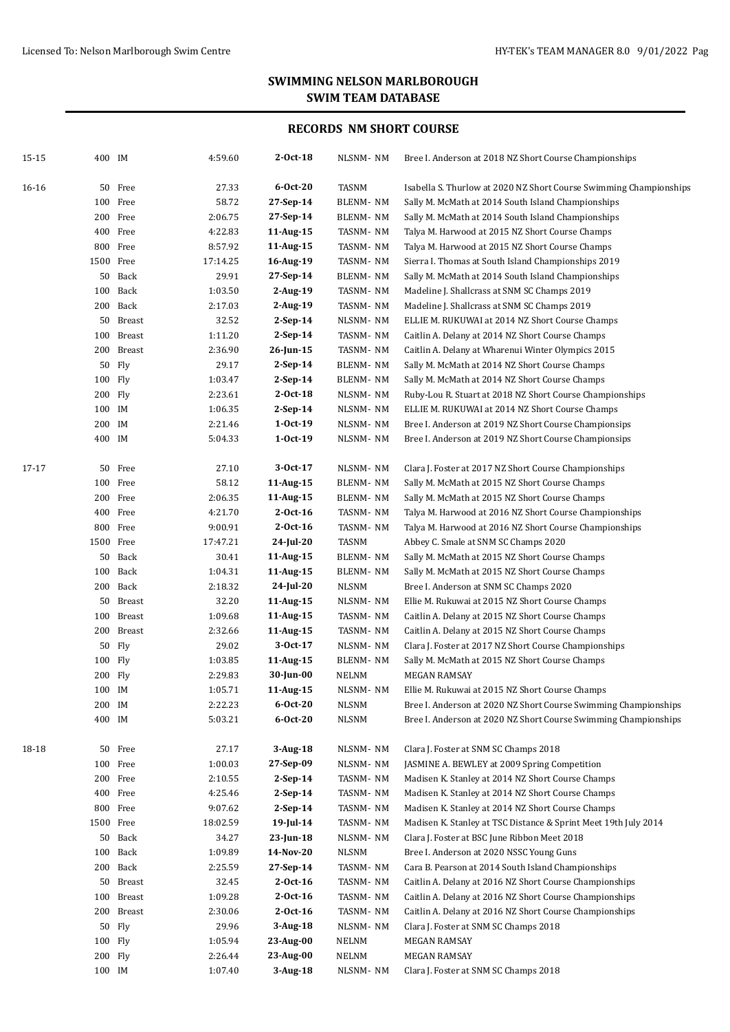| 15-15 | 400 IM    |            | 4:59.60  | $2-0ct-18$     | NLSNM-NM        | Bree I. Anderson at 2018 NZ Short Course Championships             |
|-------|-----------|------------|----------|----------------|-----------------|--------------------------------------------------------------------|
| 16-16 |           | 50 Free    | 27.33    | $6-0ct-20$     | TASNM           | Isabella S. Thurlow at 2020 NZ Short Course Swimming Championships |
|       |           | 100 Free   | 58.72    | 27-Sep-14      | <b>BLENM-NM</b> | Sally M. McMath at 2014 South Island Championships                 |
|       |           | 200 Free   | 2:06.75  | 27-Sep-14      | BLENM-NM        | Sally M. McMath at 2014 South Island Championships                 |
|       |           | 400 Free   | 4:22.83  | 11-Aug-15      | TASNM-NM        | Talya M. Harwood at 2015 NZ Short Course Champs                    |
|       |           | 800 Free   | 8:57.92  | 11-Aug-15      | TASNM-NM        | Talya M. Harwood at 2015 NZ Short Course Champs                    |
|       |           | 1500 Free  | 17:14.25 | 16-Aug-19      | TASNM-NM        | Sierra I. Thomas at South Island Championships 2019                |
|       |           | 50 Back    | 29.91    | 27-Sep-14      | BLENM-NM        | Sally M. McMath at 2014 South Island Championships                 |
|       |           | 100 Back   | 1:03.50  | 2-Aug-19       | TASNM-NM        | Madeline J. Shallcrass at SNM SC Champs 2019                       |
|       |           | 200 Back   | 2:17.03  | 2-Aug-19       | TASNM-NM        | Madeline J. Shallcrass at SNM SC Champs 2019                       |
|       |           | 50 Breast  | 32.52    | $2-Sep-14$     | NLSNM-NM        | ELLIE M. RUKUWAI at 2014 NZ Short Course Champs                    |
|       | 100       | Breast     | 1:11.20  | $2-Sep-14$     | TASNM-NM        | Caitlin A. Delany at 2014 NZ Short Course Champs                   |
|       |           | 200 Breast | 2:36.90  | 26-Jun-15      | TASNM-NM        | Caitlin A. Delany at Wharenui Winter Olympics 2015                 |
|       |           | 50 Fly     | 29.17    | $2-Sep-14$     | BLENM-NM        | Sally M. McMath at 2014 NZ Short Course Champs                     |
|       | 100 Fly   |            | 1:03.47  | $2-Sep-14$     | BLENM-NM        | Sally M. McMath at 2014 NZ Short Course Champs                     |
|       | 200 Fly   |            | 2:23.61  | $2-0ct-18$     | NLSNM-NM        | Ruby-Lou R. Stuart at 2018 NZ Short Course Championships           |
|       | 100 IM    |            | 1:06.35  | $2-Sep-14$     | NLSNM-NM        | ELLIE M. RUKUWAI at 2014 NZ Short Course Champs                    |
|       | 200 IM    |            | 2:21.46  | $1-0ct-19$     | NLSNM-NM        | Bree I. Anderson at 2019 NZ Short Course Championsips              |
|       | 400 IM    |            | 5:04.33  | $1 - Oct - 19$ | NLSNM-NM        | Bree I. Anderson at 2019 NZ Short Course Championsips              |
| 17-17 |           | 50 Free    | 27.10    | 3-Oct-17       | NLSNM-NM        | Clara J. Foster at 2017 NZ Short Course Championships              |
|       |           | 100 Free   | 58.12    | 11-Aug-15      | BLENM-NM        | Sally M. McMath at 2015 NZ Short Course Champs                     |
|       |           | 200 Free   | 2:06.35  | 11-Aug-15      | <b>BLENM-NM</b> | Sally M. McMath at 2015 NZ Short Course Champs                     |
|       |           | 400 Free   | 4:21.70  | $2-0ct-16$     | TASNM-NM        | Talya M. Harwood at 2016 NZ Short Course Championships             |
|       |           | 800 Free   | 9:00.91  | $2-0ct-16$     | TASNM-NM        | Talya M. Harwood at 2016 NZ Short Course Championships             |
|       |           | 1500 Free  | 17:47.21 | 24-Jul-20      | <b>TASNM</b>    | Abbey C. Smale at SNM SC Champs 2020                               |
|       |           | 50 Back    | 30.41    | 11-Aug-15      | BLENM-NM        | Sally M. McMath at 2015 NZ Short Course Champs                     |
|       |           | 100 Back   | 1:04.31  | 11-Aug-15      | <b>BLENM-NM</b> | Sally M. McMath at 2015 NZ Short Course Champs                     |
|       |           | 200 Back   | 2:18.32  | 24-Jul-20      | <b>NLSNM</b>    | Bree I. Anderson at SNM SC Champs 2020                             |
|       |           | 50 Breast  | 32.20    | 11-Aug-15      | NLSNM-NM        | Ellie M. Rukuwai at 2015 NZ Short Course Champs                    |
|       |           | 100 Breast | 1:09.68  | 11-Aug-15      | TASNM-NM        | Caitlin A. Delany at 2015 NZ Short Course Champs                   |
|       |           | 200 Breast | 2:32.66  | 11-Aug-15      | TASNM-NM        | Caitlin A. Delany at 2015 NZ Short Course Champs                   |
|       |           | 50 Fly     | 29.02    | 3-Oct-17       | NLSNM-NM        | Clara J. Foster at 2017 NZ Short Course Championships              |
|       | 100 Fly   |            | 1:03.85  | 11-Aug-15      | <b>BLENM-NM</b> | Sally M. McMath at 2015 NZ Short Course Champs                     |
|       | 200 Fly   |            | 2:29.83  | 30-Jun-00      | <b>NELNM</b>    | <b>MEGAN RAMSAY</b>                                                |
|       | 100 IM    |            | 1:05.71  | 11-Aug-15      | NLSNM-NM        | Ellie M. Rukuwai at 2015 NZ Short Course Champs                    |
|       | 200 IM    |            | 2:22.23  | $6 - Oct - 20$ | NLSNM           | Bree I. Anderson at 2020 NZ Short Course Swimming Championships    |
|       | 400 IM    |            | 5:03.21  | $6-0ct-20$     | <b>NLSNM</b>    | Bree I. Anderson at 2020 NZ Short Course Swimming Championships    |
| 18-18 |           | 50 Free    | 27.17    | $3$ -Aug-18    | NLSNM-NM        | Clara J. Foster at SNM SC Champs 2018                              |
|       |           | 100 Free   | 1:00.03  | 27-Sep-09      | NLSNM-NM        | JASMINE A. BEWLEY at 2009 Spring Competition                       |
|       |           | 200 Free   | 2:10.55  | $2-Sep-14$     | TASNM-NM        | Madisen K. Stanley at 2014 NZ Short Course Champs                  |
|       |           | 400 Free   | 4:25.46  | $2-Sep-14$     | TASNM-NM        | Madisen K. Stanley at 2014 NZ Short Course Champs                  |
|       |           | 800 Free   | 9:07.62  | $2-Sep-14$     | TASNM-NM        | Madisen K. Stanley at 2014 NZ Short Course Champs                  |
|       | 1500 Free |            | 18:02.59 | $19$ -Jul-14   | TASNM-NM        | Madisen K. Stanley at TSC Distance & Sprint Meet 19th July 2014    |
|       |           | 50 Back    | 34.27    | $23$ -Jun-18   | NLSNM-NM        | Clara J. Foster at BSC June Ribbon Meet 2018                       |
|       |           | 100 Back   | 1:09.89  | 14-Nov-20      | NLSNM           | Bree I. Anderson at 2020 NSSC Young Guns                           |
|       |           | 200 Back   | 2:25.59  | 27-Sep-14      | TASNM-NM        | Cara B. Pearson at 2014 South Island Championships                 |
|       |           | 50 Breast  | 32.45    | $2-0ct-16$     | TASNM-NM        | Caitlin A. Delany at 2016 NZ Short Course Championships            |
|       |           | 100 Breast | 1:09.28  | $2-0ct-16$     | TASNM-NM        | Caitlin A. Delany at 2016 NZ Short Course Championships            |
|       |           | 200 Breast | 2:30.06  | $2-0ct-16$     | TASNM-NM        | Caitlin A. Delany at 2016 NZ Short Course Championships            |
|       |           | 50 Fly     | 29.96    | 3-Aug-18       | NLSNM-NM        | Clara J. Foster at SNM SC Champs 2018                              |
|       | 100 Fly   |            | 1:05.94  | 23-Aug-00      | NELNM           | MEGAN RAMSAY                                                       |
|       | 200 Fly   |            | 2:26.44  | 23-Aug-00      | NELNM           | MEGAN RAMSAY                                                       |
|       | 100 IM    |            | 1:07.40  | 3-Aug-18       | NLSNM-NM        | Clara J. Foster at SNM SC Champs 2018                              |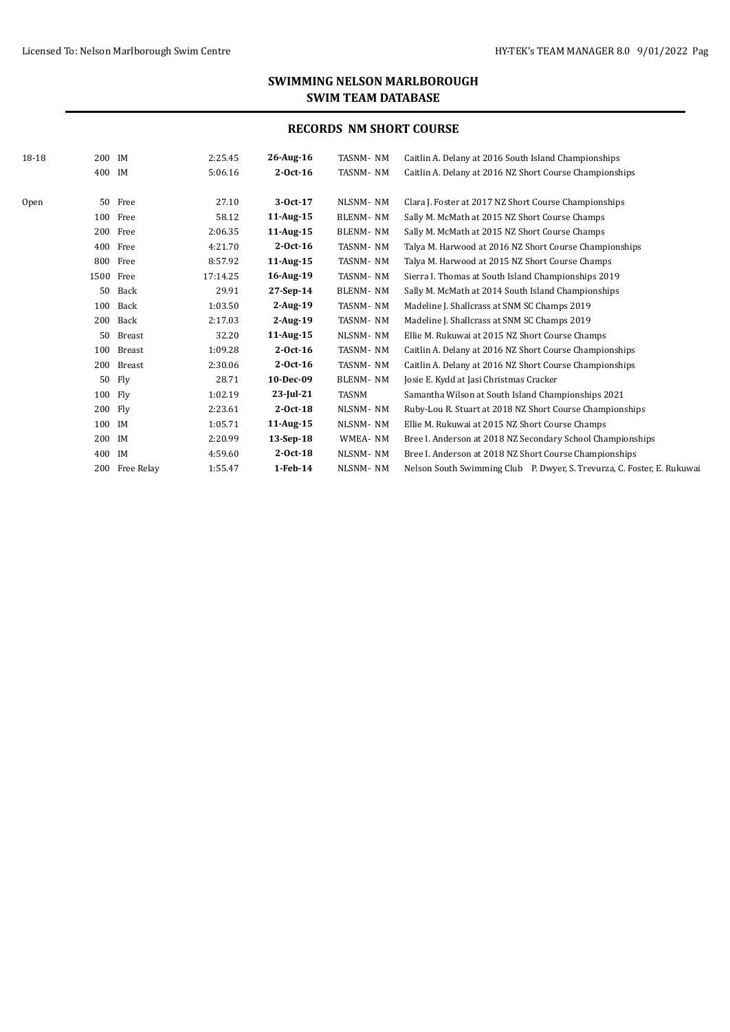| 18-18 | 200 IM    |               | 2:25.45  | 26-Aug-16    | TASNM-NM        | Caitlin A. Delany at 2016 South Island Championships                    |
|-------|-----------|---------------|----------|--------------|-----------------|-------------------------------------------------------------------------|
|       | 400       | IM            | 5:06.16  | $2-0ct-16$   | TASNM-NM        | Caitlin A. Delany at 2016 NZ Short Course Championships                 |
|       |           |               |          |              |                 |                                                                         |
| Open  | 50        | Free          | 27.10    | 3-Oct-17     | NLSNM-NM        | Clara J. Foster at 2017 NZ Short Course Championships                   |
|       | 100       | Free          | 58.12    | 11-Aug-15    | <b>BLENM-NM</b> | Sally M. McMath at 2015 NZ Short Course Champs                          |
|       | 200       | Free          | 2:06.35  | 11-Aug-15    | <b>BLENM-NM</b> | Sally M. McMath at 2015 NZ Short Course Champs                          |
|       | 400       | Free          | 4:21.70  | $2-0ct-16$   | TASNM-NM        | Talya M. Harwood at 2016 NZ Short Course Championships                  |
|       | 800       | Free          | 8:57.92  | 11-Aug-15    | TASNM-NM        | Talya M. Harwood at 2015 NZ Short Course Champs                         |
|       | 1500 Free |               | 17:14.25 | 16-Aug-19    | TASNM-NM        | Sierra I. Thomas at South Island Championships 2019                     |
|       | 50        | Back          | 29.91    | $27-Sep-14$  | <b>BLENM-NM</b> | Sally M. McMath at 2014 South Island Championships                      |
|       | 100       | Back          | 1:03.50  | $2$ -Aug-19  | TASNM-NM        | Madeline J. Shallcrass at SNM SC Champs 2019                            |
|       | 200       | Back          | 2:17.03  | $2$ -Aug-19  | TASNM-NM        | Madeline J. Shallcrass at SNM SC Champs 2019                            |
|       | 50        | <b>Breast</b> | 32.20    | 11-Aug-15    | NLSNM-NM        | Ellie M. Rukuwai at 2015 NZ Short Course Champs                         |
|       | 100       | <b>Breast</b> | 1:09.28  | $2-0ct-16$   | TASNM-NM        | Caitlin A. Delany at 2016 NZ Short Course Championships                 |
|       | 200       | <b>Breast</b> | 2:30.06  | $2-0ct-16$   | TASNM-NM        | Caitlin A. Delany at 2016 NZ Short Course Championships                 |
|       | 50        | Fly           | 28.71    | 10-Dec-09    | <b>BLENM-NM</b> | Josie E. Kydd at Jasi Christmas Cracker                                 |
|       | 100       | Fly           | 1:02.19  | $23$ -Jul-21 | TASNM           | Samantha Wilson at South Island Championships 2021                      |
|       | 200       | Fly           | 2:23.61  | $2-0ct-18$   | NLSNM-NM        | Ruby-Lou R. Stuart at 2018 NZ Short Course Championships                |
|       | 100       | IM            | 1:05.71  | 11-Aug-15    | NLSNM-NM        | Ellie M. Rukuwai at 2015 NZ Short Course Champs                         |
|       | 200       | IM            | 2:20.99  | $13-Sep-18$  | WMEA-NM         | Bree I. Anderson at 2018 NZ Secondary School Championships              |
|       | 400       | IM            | 4:59.60  | $2-0ct-18$   | NLSNM-NM        | Bree I. Anderson at 2018 NZ Short Course Championships                  |
|       | 200       | Free Relay    | 1:55.47  | 1-Feb-14     | NLSNM-NM        | Nelson South Swimming Club P. Dwyer, S. Trevurza, C. Foster, E. Rukuwai |
|       |           |               |          |              |                 |                                                                         |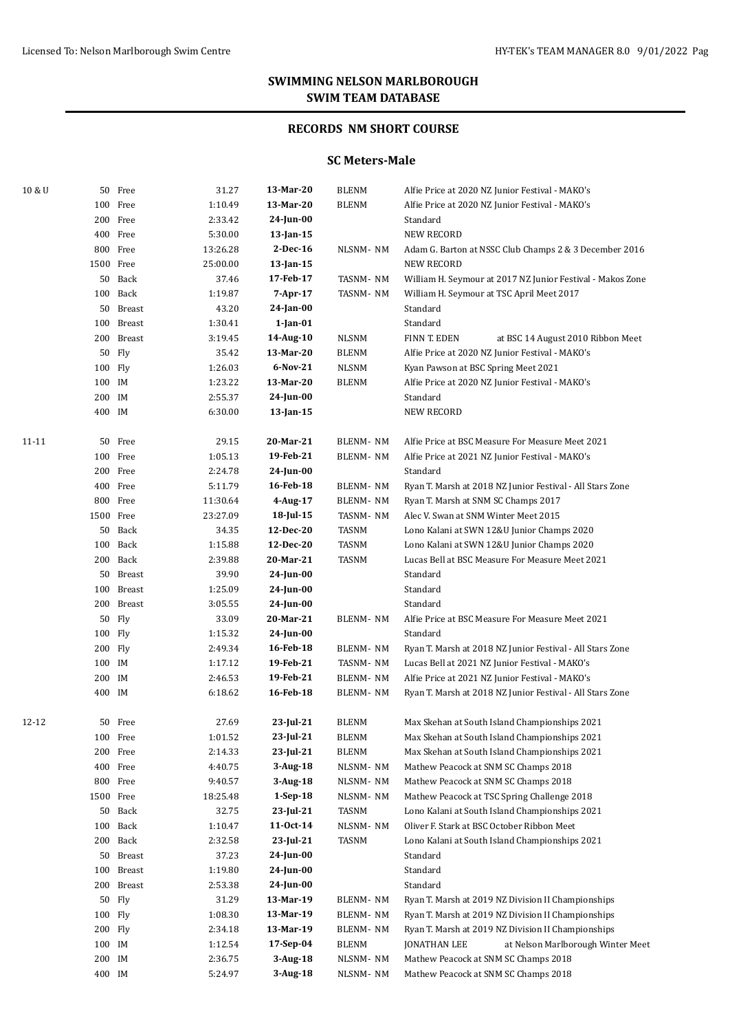## **RECORDS NM SHORT COURSE**

#### **SC Meters-Male**

| 10 & U |           | 50 Free    | 31.27    | 13-Mar-20    | <b>BLENM</b>    | Alfie Price at 2020 NZ Junior Festival - MAKO's            |
|--------|-----------|------------|----------|--------------|-----------------|------------------------------------------------------------|
|        |           | 100 Free   | 1:10.49  | 13-Mar-20    | <b>BLENM</b>    | Alfie Price at 2020 NZ Junior Festival - MAKO's            |
|        |           | 200 Free   | 2:33.42  | $24$ -Jun-00 |                 | Standard                                                   |
|        |           | 400 Free   | 5:30.00  | $13$ -Jan-15 |                 | <b>NEW RECORD</b>                                          |
|        |           | 800 Free   | 13:26.28 | $2-Dec-16$   | NLSNM-NM        | Adam G. Barton at NSSC Club Champs 2 & 3 December 2016     |
|        | 1500 Free |            | 25:00.00 | $13$ -Jan-15 |                 | <b>NEW RECORD</b>                                          |
|        |           | 50 Back    | 37.46    | 17-Feb-17    | TASNM-NM        | William H. Seymour at 2017 NZ Junior Festival - Makos Zone |
|        |           | 100 Back   | 1:19.87  | $7-Apr-17$   | TASNM-NM        | William H. Seymour at TSC April Meet 2017                  |
|        |           | 50 Breast  | 43.20    | $24$ -Jan-00 |                 | Standard                                                   |
|        |           | 100 Breast | 1:30.41  | $1$ -Jan-01  |                 | Standard                                                   |
|        |           | 200 Breast | 3:19.45  | 14-Aug-10    | NLSNM           | FINN T. EDEN<br>at BSC 14 August 2010 Ribbon Meet          |
|        |           | 50 Fly     | 35.42    | 13-Mar-20    | <b>BLENM</b>    | Alfie Price at 2020 NZ Junior Festival - MAKO's            |
|        | 100 Fly   |            | 1:26.03  | $6-Nov-21$   | <b>NLSNM</b>    | Kyan Pawson at BSC Spring Meet 2021                        |
|        | 100 IM    |            | 1:23.22  | 13-Mar-20    | <b>BLENM</b>    | Alfie Price at 2020 NZ Junior Festival - MAKO's            |
|        | 200 IM    |            | 2:55.37  | 24-Jun-00    |                 | Standard                                                   |
|        | 400 IM    |            | 6:30.00  | $13$ -Jan-15 |                 | <b>NEW RECORD</b>                                          |
| 11-11  |           | 50 Free    | 29.15    | 20-Mar-21    | <b>BLENM-NM</b> | Alfie Price at BSC Measure For Measure Meet 2021           |
|        |           | 100 Free   | 1:05.13  | 19-Feb-21    | <b>BLENM-NM</b> | Alfie Price at 2021 NZ Junior Festival - MAKO's            |
|        |           | 200 Free   | 2:24.78  | 24-Jun-00    |                 | Standard                                                   |
|        |           | 400 Free   | 5:11.79  | 16-Feb-18    | BLENM-NM        | Ryan T. Marsh at 2018 NZ Junior Festival - All Stars Zone  |
|        |           | 800 Free   | 11:30.64 | 4-Aug-17     | BLENM-NM        | Ryan T. Marsh at SNM SC Champs 2017                        |
|        | 1500 Free |            | 23:27.09 | 18-Jul-15    | TASNM-NM        | Alec V. Swan at SNM Winter Meet 2015                       |
|        |           | 50 Back    | 34.35    | 12-Dec-20    | TASNM           | Lono Kalani at SWN 12&U Junior Champs 2020                 |
|        |           | 100 Back   | 1:15.88  | 12-Dec-20    | TASNM           | Lono Kalani at SWN 12&U Junior Champs 2020                 |
|        |           | 200 Back   | 2:39.88  | 20-Mar-21    | TASNM           | Lucas Bell at BSC Measure For Measure Meet 2021            |
|        |           | 50 Breast  | 39.90    | 24-Jun-00    |                 | Standard                                                   |
|        |           | 100 Breast | 1:25.09  | 24-Jun-00    |                 | Standard                                                   |
|        |           | 200 Breast | 3:05.55  | 24-Jun-00    |                 | Standard                                                   |
|        |           | 50 Fly     | 33.09    | 20-Mar-21    | <b>BLENM-NM</b> | Alfie Price at BSC Measure For Measure Meet 2021           |
|        | 100 Fly   |            | 1:15.32  | 24-Jun-00    |                 | Standard                                                   |
|        | 200 Fly   |            | 2:49.34  | 16-Feb-18    | <b>BLENM-NM</b> | Ryan T. Marsh at 2018 NZ Junior Festival - All Stars Zone  |
|        | 100 IM    |            | 1:17.12  | 19-Feb-21    | TASNM-NM        | Lucas Bell at 2021 NZ Junior Festival - MAKO's             |
|        | 200 IM    |            | 2:46.53  | 19-Feb-21    | BLENM-NM        | Alfie Price at 2021 NZ Junior Festival - MAKO's            |
|        | 400 IM    |            | 6:18.62  | 16-Feb-18    | BLENM-NM        | Ryan T. Marsh at 2018 NZ Junior Festival - All Stars Zone  |
| 12-12  |           | 50 Free    | 27.69    | $23$ -Jul-21 | <b>BLENM</b>    | Max Skehan at South Island Championships 2021              |
|        |           | 100 Free   | 1:01.52  | 23-Jul-21    | <b>BLENM</b>    | Max Skehan at South Island Championships 2021              |
|        |           | 200 Free   | 2:14.33  | 23-Jul-21    | <b>BLENM</b>    | Max Skehan at South Island Championships 2021              |
|        |           | 400 Free   | 4:40.75  | 3-Aug-18     | NLSNM-NM        | Mathew Peacock at SNM SC Champs 2018                       |
|        |           | 800 Free   | 9:40.57  | 3-Aug-18     | NLSNM-NM        | Mathew Peacock at SNM SC Champs 2018                       |
|        | 1500 Free |            | 18:25.48 | $1-Sep-18$   | NLSNM-NM        | Mathew Peacock at TSC Spring Challenge 2018                |
|        |           | 50 Back    | 32.75    | 23-Jul-21    | TASNM           | Lono Kalani at South Island Championships 2021             |
|        |           | 100 Back   | 1:10.47  | 11-0ct-14    | NLSNM-NM        | Oliver F. Stark at BSC October Ribbon Meet                 |
|        |           | 200 Back   | 2:32.58  | 23-Jul-21    | TASNM           | Lono Kalani at South Island Championships 2021             |
|        |           | 50 Breast  | 37.23    | 24-Jun-00    |                 | Standard                                                   |
|        |           | 100 Breast | 1:19.80  | 24-Jun-00    |                 | Standard                                                   |
|        |           | 200 Breast | 2:53.38  | 24-Jun-00    |                 | Standard                                                   |
|        | 50        | Fly        | 31.29    | 13-Mar-19    | BLENM-NM        | Ryan T. Marsh at 2019 NZ Division II Championships         |
|        | 100 Fly   |            | 1:08.30  | 13-Mar-19    | BLENM-NM        | Ryan T. Marsh at 2019 NZ Division II Championships         |
|        | 200 Fly   |            | 2:34.18  | 13-Mar-19    | BLENM-NM        | Ryan T. Marsh at 2019 NZ Division II Championships         |
|        | 100 IM    |            | 1:12.54  | $17-Sep-04$  | <b>BLENM</b>    | <b>JONATHAN LEE</b><br>at Nelson Marlborough Winter Meet   |
|        | 200 IM    |            | 2:36.75  | 3-Aug-18     | NLSNM-NM        | Mathew Peacock at SNM SC Champs 2018                       |
|        | 400 IM    |            | 5:24.97  | 3-Aug-18     | NLSNM-NM        | Mathew Peacock at SNM SC Champs 2018                       |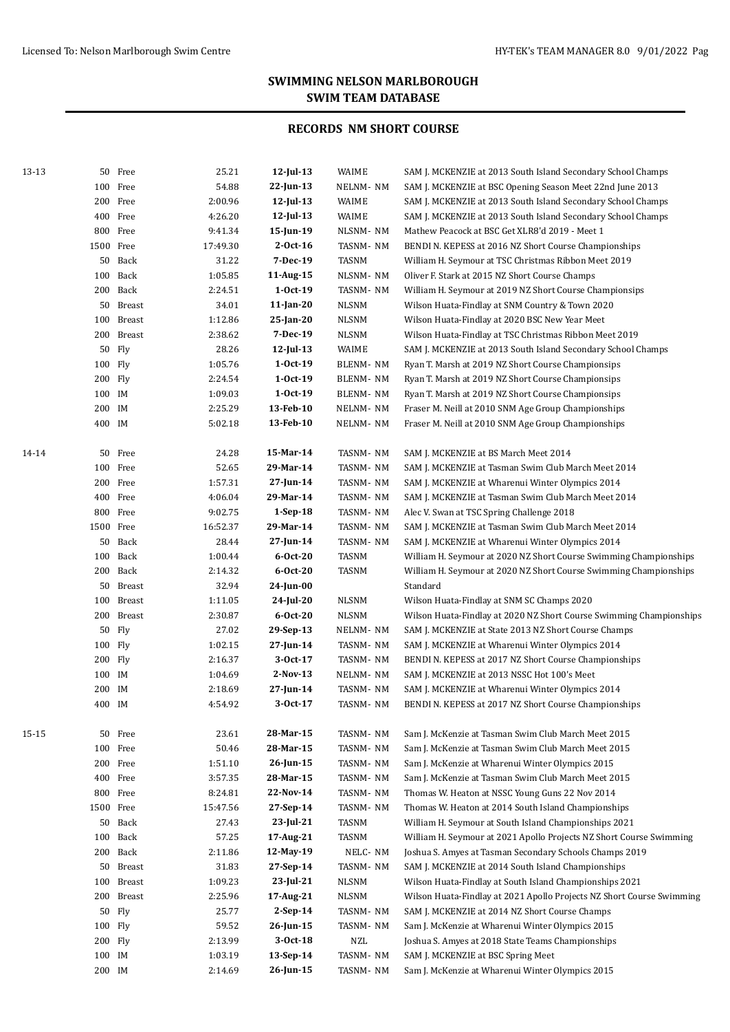| 13-13 |           | 50 Free    | 25.21    | $12$ -Jul-13   | WAIME        | SAM J. MCKENZIE at 2013 South Island Secondary School Champs          |
|-------|-----------|------------|----------|----------------|--------------|-----------------------------------------------------------------------|
|       |           | 100 Free   | 54.88    | $22$ -Jun-13   | NELNM-NM     | SAM J. MCKENZIE at BSC Opening Season Meet 22nd June 2013             |
|       |           | 200 Free   | 2:00.96  | $12$ -Jul-13   | WAIME        | SAM J. MCKENZIE at 2013 South Island Secondary School Champs          |
|       |           | 400 Free   | 4:26.20  | $12$ -Jul-13   | WAIME        | SAM J. MCKENZIE at 2013 South Island Secondary School Champs          |
|       |           | 800 Free   | 9:41.34  | $15$ -Jun-19   | NLSNM-NM     | Mathew Peacock at BSC Get XLR8'd 2019 - Meet 1                        |
|       | 1500 Free |            | 17:49.30 | $2-0ct-16$     | TASNM-NM     | BENDI N. KEPESS at 2016 NZ Short Course Championships                 |
|       |           | 50 Back    | 31.22    | 7-Dec-19       | TASNM        | William H. Seymour at TSC Christmas Ribbon Meet 2019                  |
|       |           | 100 Back   | 1:05.85  | 11-Aug-15      | NLSNM-NM     | Oliver F. Stark at 2015 NZ Short Course Champs                        |
|       |           | 200 Back   | 2:24.51  | $1-0ct-19$     | TASNM-NM     | William H. Seymour at 2019 NZ Short Course Championsips               |
|       |           | 50 Breast  | 34.01    | $11$ -Jan-20   | <b>NLSNM</b> | Wilson Huata-Findlay at SNM Country & Town 2020                       |
|       |           | 100 Breast | 1:12.86  | 25-Jan-20      | <b>NLSNM</b> | Wilson Huata-Findlay at 2020 BSC New Year Meet                        |
|       |           | 200 Breast | 2:38.62  | 7-Dec-19       | <b>NLSNM</b> | Wilson Huata-Findlay at TSC Christmas Ribbon Meet 2019                |
|       |           | 50 Fly     | 28.26    | $12$ -Jul-13   | WAIME        | SAM J. MCKENZIE at 2013 South Island Secondary School Champs          |
|       | 100 Fly   |            | 1:05.76  | $1-0ct-19$     | BLENM-NM     | Ryan T. Marsh at 2019 NZ Short Course Championsips                    |
|       | 200 Fly   |            | 2:24.54  | $1-0ct-19$     | BLENM-NM     | Ryan T. Marsh at 2019 NZ Short Course Championsips                    |
|       | 100 IM    |            | 1:09.03  | $1-0ct-19$     | BLENM-NM     | Ryan T. Marsh at 2019 NZ Short Course Championsips                    |
|       | 200 IM    |            | 2:25.29  | 13-Feb-10      | NELNM-NM     | Fraser M. Neill at 2010 SNM Age Group Championships                   |
|       | 400 IM    |            | 5:02.18  | 13-Feb-10      | NELNM-NM     | Fraser M. Neill at 2010 SNM Age Group Championships                   |
|       |           |            |          |                |              |                                                                       |
| 14-14 |           | 50 Free    | 24.28    | 15-Mar-14      | TASNM-NM     | SAM J. MCKENZIE at BS March Meet 2014                                 |
|       |           | 100 Free   | 52.65    | 29-Mar-14      | TASNM-NM     | SAM J. MCKENZIE at Tasman Swim Club March Meet 2014                   |
|       |           | 200 Free   | 1:57.31  | 27-Jun-14      | TASNM-NM     | SAM J. MCKENZIE at Wharenui Winter Olympics 2014                      |
|       |           | 400 Free   | 4:06.04  | 29-Mar-14      | TASNM-NM     | SAM J. MCKENZIE at Tasman Swim Club March Meet 2014                   |
|       |           | 800 Free   | 9:02.75  | 1-Sep-18       | TASNM-NM     | Alec V. Swan at TSC Spring Challenge 2018                             |
|       | 1500 Free |            | 16:52.37 | 29-Mar-14      | TASNM-NM     | SAM J. MCKENZIE at Tasman Swim Club March Meet 2014                   |
|       |           | 50 Back    | 28.44    | 27-Jun-14      | TASNM-NM     | SAM J. MCKENZIE at Wharenui Winter Olympics 2014                      |
|       |           | 100 Back   | 1:00.44  | $6 - Oct - 20$ | TASNM        | William H. Seymour at 2020 NZ Short Course Swimming Championships     |
|       |           | 200 Back   | 2:14.32  | $6-0ct-20$     | TASNM        | William H. Seymour at 2020 NZ Short Course Swimming Championships     |
|       |           | 50 Breast  | 32.94    | 24-Jun-00      |              | Standard                                                              |
|       |           | 100 Breast | 1:11.05  | 24-Jul-20      | <b>NLSNM</b> | Wilson Huata-Findlay at SNM SC Champs 2020                            |
|       |           | 200 Breast | 2:30.87  | $6 - Oct - 20$ | <b>NLSNM</b> | Wilson Huata-Findlay at 2020 NZ Short Course Swimming Championships   |
|       |           | 50 Fly     | 27.02    | 29-Sep-13      | NELNM-NM     | SAM J. MCKENZIE at State 2013 NZ Short Course Champs                  |
|       | 100 Fly   |            | 1:02.15  | 27-Jun-14      | TASNM-NM     | SAM J. MCKENZIE at Wharenui Winter Olympics 2014                      |
|       | 200 Fly   |            | 2:16.37  | 3-Oct-17       | TASNM-NM     | BENDI N. KEPESS at 2017 NZ Short Course Championships                 |
|       | 100 IM    |            | 1:04.69  | $2-Nov-13$     | NELNM-NM     | SAM J. MCKENZIE at 2013 NSSC Hot 100's Meet                           |
|       | 200 IM    |            | 2:18.69  | 27-Jun-14      | TASNM-NM     | SAM J. MCKENZIE at Wharenui Winter Olympics 2014                      |
|       | 400 IM    |            | 4:54.92  | 3-Oct-17       | TASNM-NM     | BENDI N. KEPESS at 2017 NZ Short Course Championships                 |
|       |           |            |          |                |              |                                                                       |
| 15-15 |           | 50 Free    | 23.61    | 28-Mar-15      | TASNM-NM     | Sam J. McKenzie at Tasman Swim Club March Meet 2015                   |
|       |           | 100 Free   | 50.46    | 28-Mar-15      | TASNM-NM     | Sam J. McKenzie at Tasman Swim Club March Meet 2015                   |
|       |           | 200 Free   | 1:51.10  | 26-Jun-15      | TASNM-NM     | Sam J. McKenzie at Wharenui Winter Olympics 2015                      |
|       |           | 400 Free   | 3:57.35  | 28-Mar-15      | TASNM-NM     | Sam J. McKenzie at Tasman Swim Club March Meet 2015                   |
|       |           | 800 Free   | 8:24.81  | 22-Nov-14      | TASNM-NM     | Thomas W. Heaton at NSSC Young Guns 22 Nov 2014                       |
|       | 1500 Free |            | 15:47.56 | 27-Sep-14      | TASNM-NM     | Thomas W. Heaton at 2014 South Island Championships                   |
|       |           | 50 Back    | 27.43    | $23$ -Jul-21   | TASNM        | William H. Seymour at South Island Championships 2021                 |
|       |           | 100 Back   | 57.25    | 17-Aug-21      | <b>TASNM</b> | William H. Seymour at 2021 Apollo Projects NZ Short Course Swimming   |
|       |           | 200 Back   | 2:11.86  | 12-May-19      | NELC-NM      | Joshua S. Amyes at Tasman Secondary Schools Champs 2019               |
|       |           | 50 Breast  | 31.83    | 27-Sep-14      | TASNM-NM     | SAM J. MCKENZIE at 2014 South Island Championships                    |
|       |           | 100 Breast | 1:09.23  | $23$ -Jul-21   | <b>NLSNM</b> | Wilson Huata-Findlay at South Island Championships 2021               |
|       |           | 200 Breast | 2:25.96  | 17-Aug-21      | NLSNM        | Wilson Huata-Findlay at 2021 Apollo Projects NZ Short Course Swimming |
|       | 50        | Fly        | 25.77    | $2-Sep-14$     | TASNM-NM     | SAM J. MCKENZIE at 2014 NZ Short Course Champs                        |
|       | 100 Fly   |            | 59.52    | 26-Jun-15      | TASNM-NM     | Sam J. McKenzie at Wharenui Winter Olympics 2015                      |
|       | 200 Fly   |            | 2:13.99  | $3-0ct-18$     | <b>NZL</b>   | Joshua S. Amyes at 2018 State Teams Championships                     |
|       | 100 IM    |            | 1:03.19  | 13-Sep-14      | TASNM-NM     | SAM J. MCKENZIE at BSC Spring Meet                                    |
|       | 200 IM    |            | 2:14.69  | $26$ -Jun-15   | TASNM-NM     | Sam J. McKenzie at Wharenui Winter Olympics 2015                      |
|       |           |            |          |                |              |                                                                       |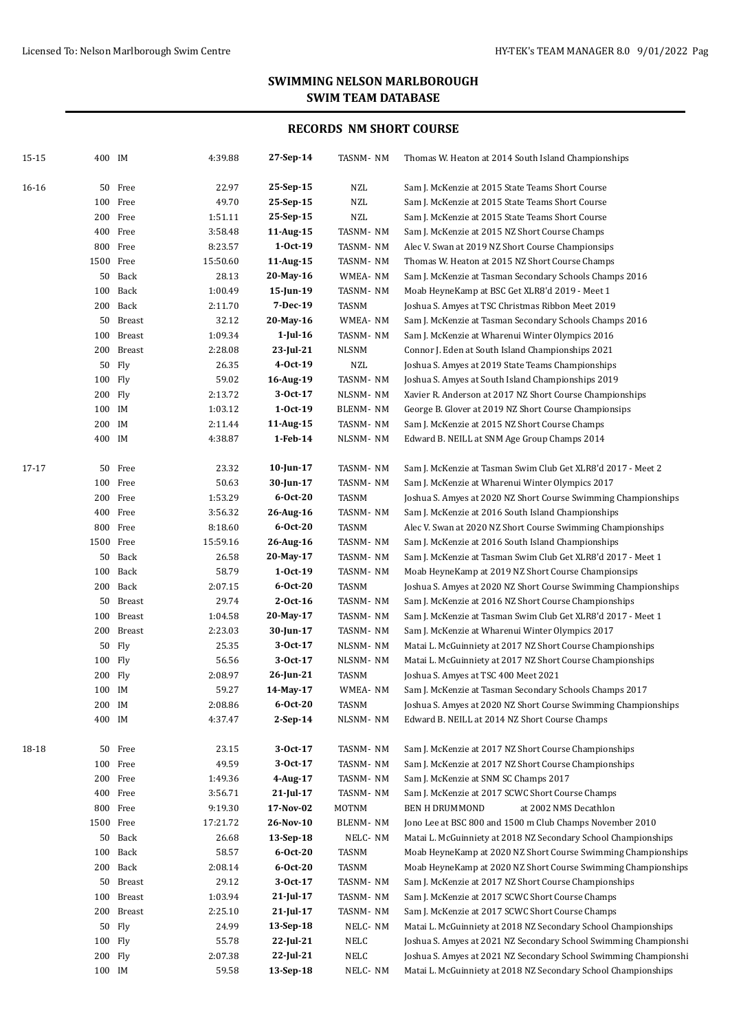| 15-15 | 400 IM                              |            | 4:39.88         | 27-Sep-14                                             | TASNM-NM                                       | Thomas W. Heaton at 2014 South Island Championships              |
|-------|-------------------------------------|------------|-----------------|-------------------------------------------------------|------------------------------------------------|------------------------------------------------------------------|
| 16-16 |                                     | 50 Free    | 22.97           | 25-Sep-15                                             | <b>NZL</b>                                     | Sam J. McKenzie at 2015 State Teams Short Course                 |
|       |                                     | 100 Free   | 49.70           | 25-Sep-15                                             | NZL                                            | Sam J. McKenzie at 2015 State Teams Short Course                 |
|       |                                     | 200 Free   | 1:51.11         | 25-Sep-15                                             | <b>NZL</b>                                     | Sam J. McKenzie at 2015 State Teams Short Course                 |
|       |                                     | 400 Free   | 3:58.48         | 11-Aug-15                                             | TASNM-NM                                       | Sam J. McKenzie at 2015 NZ Short Course Champs                   |
|       |                                     | 800 Free   | 8:23.57         | $1 - Oct - 19$                                        | TASNM-NM                                       | Alec V. Swan at 2019 NZ Short Course Championsips                |
|       | 1500 Free                           |            | 15:50.60        | 11-Aug-15                                             | TASNM-NM                                       | Thomas W. Heaton at 2015 NZ Short Course Champs                  |
|       |                                     | 50 Back    | 28.13           | 20-May-16                                             | WMEA-NM                                        | Sam J. McKenzie at Tasman Secondary Schools Champs 2016          |
|       | 100                                 | Back       | 1:00.49         | $15$ -Jun-19                                          | TASNM-NM                                       | Moab HeyneKamp at BSC Get XLR8'd 2019 - Meet 1                   |
|       |                                     | 200 Back   | 2:11.70         | 7-Dec-19                                              | <b>TASNM</b>                                   | Joshua S. Amyes at TSC Christmas Ribbon Meet 2019                |
|       |                                     | 50 Breast  | 32.12           | 20-May-16                                             | WMEA-NM                                        | Sam J. McKenzie at Tasman Secondary Schools Champs 2016          |
|       |                                     | 100 Breast | 1:09.34         | $1$ -Jul-16                                           | TASNM-NM                                       | Sam J. McKenzie at Wharenui Winter Olympics 2016                 |
|       |                                     | 200 Breast | 2:28.08         | 23-Jul-21                                             | <b>NLSNM</b>                                   | Connor J. Eden at South Island Championships 2021                |
|       |                                     | 50 Fly     | 26.35           | 4-0ct-19                                              | NZL                                            | Joshua S. Amyes at 2019 State Teams Championships                |
|       | 100 Fly                             |            | 59.02           | 16-Aug-19                                             | TASNM-NM                                       | Joshua S. Amyes at South Island Championships 2019               |
|       |                                     | 200 Fly    | 2:13.72         | 3-Oct-17                                              | NLSNM-NM                                       | Xavier R. Anderson at 2017 NZ Short Course Championships         |
|       | $1 - Oct - 19$<br>100 IM<br>1:03.12 |            | <b>BLENM-NM</b> | George B. Glover at 2019 NZ Short Course Championsips |                                                |                                                                  |
|       | 200 IM<br>2:11.44                   |            | 11-Aug-15       | TASNM-NM                                              | Sam J. McKenzie at 2015 NZ Short Course Champs |                                                                  |
|       | 400 IM                              |            | 4:38.87         | 1-Feb-14                                              | NLSNM-NM                                       | Edward B. NEILL at SNM Age Group Champs 2014                     |
| 17-17 |                                     | 50 Free    | 23.32           | $10$ -Jun- $17$                                       | TASNM-NM                                       | Sam J. McKenzie at Tasman Swim Club Get XLR8'd 2017 - Meet 2     |
|       |                                     | 100 Free   | 50.63           | 30-Jun-17                                             | TASNM-NM                                       | Sam J. McKenzie at Wharenui Winter Olympics 2017                 |
|       |                                     | 200 Free   | 1:53.29         | $6 - Oct - 20$                                        | <b>TASNM</b>                                   | Joshua S. Amyes at 2020 NZ Short Course Swimming Championships   |
|       |                                     | 400 Free   | 3:56.32         | 26-Aug-16                                             | TASNM-NM                                       | Sam J. McKenzie at 2016 South Island Championships               |
|       |                                     | 800 Free   | 8:18.60         | $6 - Oct - 20$                                        | TASNM                                          | Alec V. Swan at 2020 NZ Short Course Swimming Championships      |
|       |                                     | 1500 Free  | 15:59.16        | 26-Aug-16                                             | TASNM-NM                                       | Sam J. McKenzie at 2016 South Island Championships               |
|       |                                     | 50 Back    | 26.58           | 20-May-17                                             | TASNM-NM                                       | Sam J. McKenzie at Tasman Swim Club Get XLR8'd 2017 - Meet 1     |
|       |                                     | 100 Back   | 58.79           | $1-0ct-19$                                            | TASNM-NM                                       | Moab HeyneKamp at 2019 NZ Short Course Championsips              |
|       |                                     | 200 Back   | 2:07.15         | 6-0ct-20                                              | <b>TASNM</b>                                   | Joshua S. Amyes at 2020 NZ Short Course Swimming Championships   |
|       |                                     | 50 Breast  | 29.74           | 2-Oct-16                                              | TASNM-NM                                       | Sam J. McKenzie at 2016 NZ Short Course Championships            |
|       |                                     | 100 Breast | 1:04.58         | 20-May-17                                             | TASNM-NM                                       | Sam J. McKenzie at Tasman Swim Club Get XLR8'd 2017 - Meet 1     |
|       |                                     | 200 Breast | 2:23.03         | 30-Jun-17                                             | TASNM-NM                                       | Sam J. McKenzie at Wharenui Winter Olympics 2017                 |
|       |                                     | 50 Fly     | 25.35           | 3-0ct-17                                              | NLSNM-NM                                       | Matai L. McGuinniety at 2017 NZ Short Course Championships       |
|       | 100 Fly                             |            | 56.56           | 3-Oct-17                                              | NLSNM-NM                                       | Matai L. McGuinniety at 2017 NZ Short Course Championships       |
|       | 200 Fly                             |            | 2:08.97         | 26-Jun-21                                             | <b>TASNM</b>                                   | Joshua S. Amyes at TSC 400 Meet 2021                             |
|       | 100 IM                              |            | 59.27           | 14-May-17                                             | WMEA-NM                                        | Sam J. McKenzie at Tasman Secondary Schools Champs 2017          |
|       | 200 IM                              |            | 2:08.86         | $6$ -Oct-20 $\,$                                      | TASNM                                          | Joshua S. Amyes at 2020 NZ Short Course Swimming Championships   |
|       | 400 IM                              |            | 4:37.47         | $2-Sep-14$                                            | NLSNM-NM                                       | Edward B. NEILL at 2014 NZ Short Course Champs                   |
| 18-18 |                                     | 50 Free    | 23.15           | 3-Oct-17                                              | TASNM-NM                                       | Sam J. McKenzie at 2017 NZ Short Course Championships            |
|       |                                     | 100 Free   | 49.59           | 3-Oct-17                                              | TASNM-NM                                       | Sam J. McKenzie at 2017 NZ Short Course Championships            |
|       |                                     | 200 Free   | 1:49.36         | 4-Aug-17                                              | TASNM-NM                                       | Sam J. McKenzie at SNM SC Champs 2017                            |
|       |                                     | 400 Free   | 3:56.71         | $21$ -Jul-17                                          | TASNM-NM                                       | Sam J. McKenzie at 2017 SCWC Short Course Champs                 |
|       |                                     | 800 Free   | 9:19.30         | 17-Nov-02                                             | <b>MOTNM</b>                                   | <b>BEN H DRUMMOND</b><br>at 2002 NMS Decathlon                   |
|       | 1500 Free                           |            | 17:21.72        | 26-Nov-10                                             | <b>BLENM-NM</b>                                | Jono Lee at BSC 800 and 1500 m Club Champs November 2010         |
|       |                                     | 50 Back    | 26.68           | 13-Sep-18                                             | NELC-NM                                        | Matai L. McGuinniety at 2018 NZ Secondary School Championships   |
|       |                                     | 100 Back   | 58.57           | $6-0ct-20$                                            | TASNM                                          | Moab HeyneKamp at 2020 NZ Short Course Swimming Championships    |
|       |                                     | 200 Back   | 2:08.14         | $6-0ct-20$                                            | TASNM                                          | Moab HeyneKamp at 2020 NZ Short Course Swimming Championships    |
|       |                                     | 50 Breast  | 29.12           | 3-Oct-17                                              | TASNM-NM                                       | Sam J. McKenzie at 2017 NZ Short Course Championships            |
|       |                                     | 100 Breast | 1:03.94         | 21-Jul-17                                             | TASNM-NM                                       | Sam J. McKenzie at 2017 SCWC Short Course Champs                 |
|       |                                     | 200 Breast | 2:25.10         | 21-Jul-17                                             | TASNM-NM                                       | Sam J. McKenzie at 2017 SCWC Short Course Champs                 |
|       |                                     | 50 Fly     | 24.99           | 13-Sep-18                                             | NELC-NM                                        | Matai L. McGuinniety at 2018 NZ Secondary School Championships   |
|       | 100 Fly                             |            | 55.78           | 22-Jul-21                                             | NELC                                           | Joshua S. Amyes at 2021 NZ Secondary School Swimming Championshi |
|       | 200 Fly                             |            | 2:07.38         | $22$ -Jul-21                                          | <b>NELC</b>                                    | Joshua S. Amyes at 2021 NZ Secondary School Swimming Championshi |
|       | 100 IM                              |            | 59.58           | 13-Sep-18                                             | NELC-NM                                        | Matai L. McGuinniety at 2018 NZ Secondary School Championships   |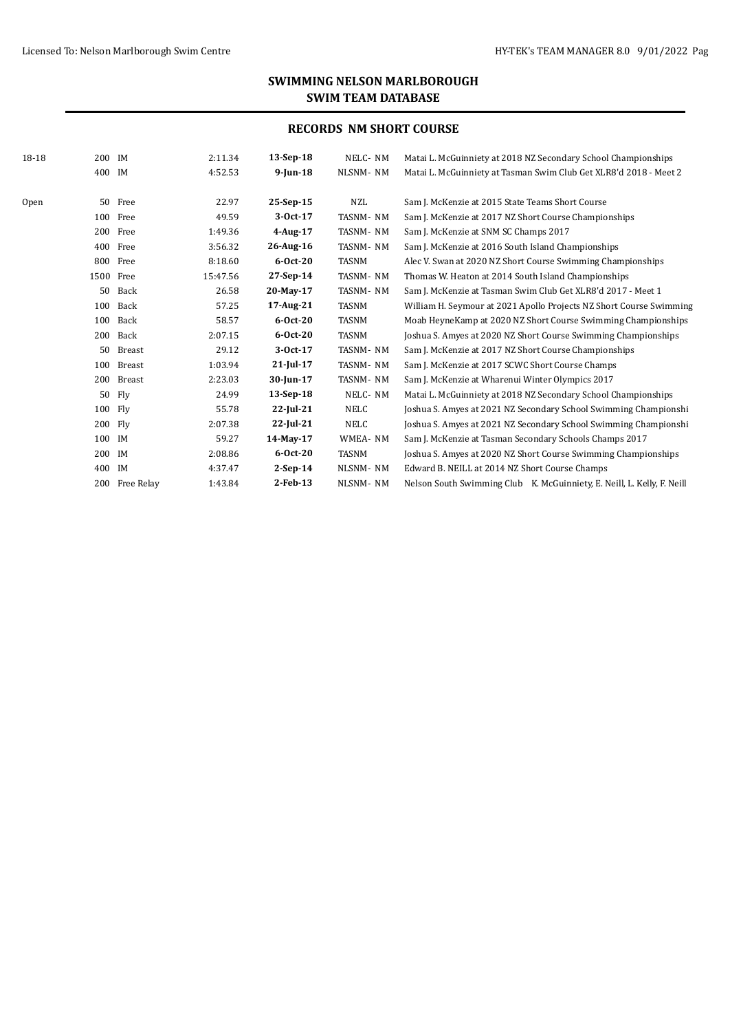| 18-18 | 200 IM    |                | 2:11.34  | 13-Sep-18      | NELC-NM      | Matai L. McGuinniety at 2018 NZ Secondary School Championships          |
|-------|-----------|----------------|----------|----------------|--------------|-------------------------------------------------------------------------|
|       |           |                |          |                |              |                                                                         |
|       | 400 IM    |                | 4:52.53  | $9$ -Jun-18    | NLSNM-NM     | Matai L. McGuinniety at Tasman Swim Club Get XLR8'd 2018 - Meet 2       |
|       |           |                |          |                |              |                                                                         |
| Open  | 50        | Free           | 22.97    | 25-Sep-15      | <b>NZL</b>   | Sam J. McKenzie at 2015 State Teams Short Course                        |
|       | 100       | Free           | 49.59    | $3-0ct-17$     | TASNM-NM     | Sam J. McKenzie at 2017 NZ Short Course Championships                   |
|       |           | 200 Free       | 1:49.36  | $4$ -Aug-17    | TASNM-NM     | Sam J. McKenzie at SNM SC Champs 2017                                   |
|       | 400       | Free           | 3:56.32  | 26-Aug-16      | TASNM-NM     | Sam J. McKenzie at 2016 South Island Championships                      |
|       | 800       | Free           | 8:18.60  | $6-0ct-20$     | <b>TASNM</b> | Alec V. Swan at 2020 NZ Short Course Swimming Championships             |
|       | 1500 Free |                | 15:47.56 | $27-Sep-14$    | TASNM-NM     | Thomas W. Heaton at 2014 South Island Championships                     |
|       | 50        | Back           | 26.58    | 20-May-17      | TASNM-NM     | Sam J. McKenzie at Tasman Swim Club Get XLR8'd 2017 - Meet 1            |
|       | 100       | Back           | 57.25    | 17-Aug-21      | <b>TASNM</b> | William H. Seymour at 2021 Apollo Projects NZ Short Course Swimming     |
|       | 100       | Back           | 58.57    | $6-0ct-20$     | <b>TASNM</b> | Moab HeyneKamp at 2020 NZ Short Course Swimming Championships           |
|       | 200       | Back           | 2:07.15  | $6 - Oct - 20$ | <b>TASNM</b> | Joshua S. Amyes at 2020 NZ Short Course Swimming Championships          |
|       | 50        | Breast         | 29.12    | $3-0ct-17$     | TASNM-NM     | Sam J. McKenzie at 2017 NZ Short Course Championships                   |
|       | 100       | Breast         | 1:03.94  | $21$ -Jul-17   | TASNM-NM     | Sam J. McKenzie at 2017 SCWC Short Course Champs                        |
|       | 200       | Breast         | 2:23.03  | 30-Jun-17      | TASNM-NM     | Sam J. McKenzie at Wharenui Winter Olympics 2017                        |
|       | 50        | Fly            | 24.99    | $13-Sep-18$    | NELC-NM      | Matai L. McGuinniety at 2018 NZ Secondary School Championships          |
|       | 100 Flv   |                | 55.78    | $22$ -Jul-21   | NELC         | Joshua S. Amyes at 2021 NZ Secondary School Swimming Championshi        |
|       | 200       | Fly            | 2:07.38  | $22$ -Jul-21   | NELC         | Joshua S. Amyes at 2021 NZ Secondary School Swimming Championshi        |
|       | 100       | IM             | 59.27    | 14-May-17      | WMEA-NM      | Sam J. McKenzie at Tasman Secondary Schools Champs 2017                 |
|       | 200       | IM             | 2:08.86  | $6 - 0ct - 20$ | <b>TASNM</b> | Joshua S. Amyes at 2020 NZ Short Course Swimming Championships          |
|       | 400       | IM             | 4:37.47  | $2-Sep-14$     | NLSNM-NM     | Edward B. NEILL at 2014 NZ Short Course Champs                          |
|       |           | 200 Free Relay | 1:43.84  | 2-Feb-13       | NLSNM-NM     | Nelson South Swimming Club K. McGuinniety, E. Neill, L. Kelly, F. Neill |